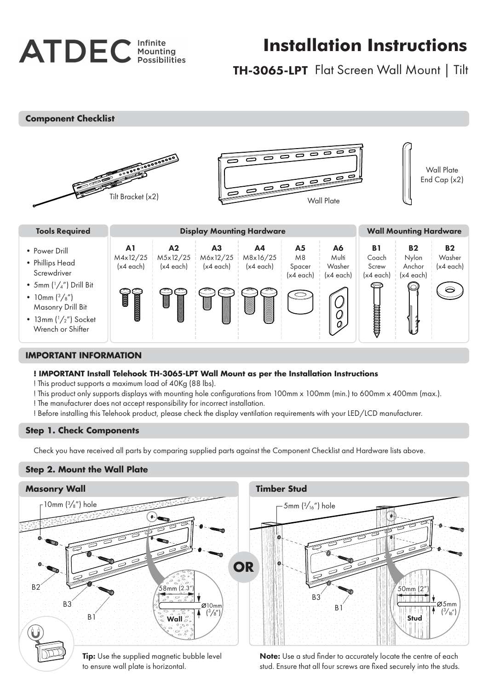

# **Installation Instructions**

# TH-3065-LPT Flat Screen Wall Mount | Tilt

**Component Checklist**



## **IMPORTANT INFORMATION**

#### **! IMPORTANT Install Telehook TH-3065-LPT Wall Mount as per the Installation Instructions**

! This product supports a maximum load of 40Kg (88 lbs).

- ! This product only supports displays with mounting hole configurations from 100mm x 100mm (min.) to 600mm x 400mm (max.).
- ! The manufacturer does not accept responsibility for incorrect installation.
- ! Before installing this Telehook product, please check the display ventilation requirements with your LED/LCD manufacturer.

#### **Step 1. Check Components**

Check you have received all parts by comparing supplied parts against the Component Checklist and Hardware lists above.

#### **Step 2. Mount the Wall Plate**



to ensure wall plate is horizontal.

Note: Use a stud finder to accurately locate the centre of each stud. Ensure that all four screws are fixed securely into the studs.